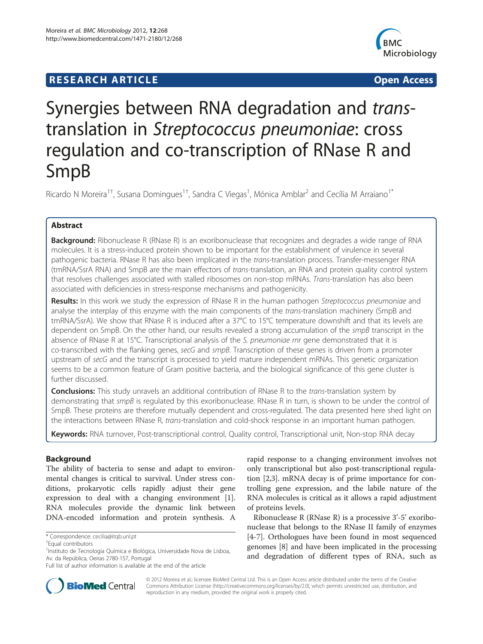# **RESEARCH ARTICLE Example 2014 CONSUMING A RESEARCH ARTICLE**



# Synergies between RNA degradation and transtranslation in Streptococcus pneumoniae: cross regulation and co-transcription of RNase R and SmpB

Ricardo N Moreira<sup>1†</sup>, Susana Domingues<sup>1†</sup>, Sandra C Viegas<sup>1</sup>, Mónica Amblar<sup>2</sup> and Cecília M Arraiano<sup>1\*</sup>

# Abstract

**Background:** Ribonuclease R (RNase R) is an exoribonuclease that recognizes and degrades a wide range of RNA molecules. It is a stress-induced protein shown to be important for the establishment of virulence in several pathogenic bacteria. RNase R has also been implicated in the trans-translation process. Transfer-messenger RNA (tmRNA/SsrA RNA) and SmpB are the main effectors of trans-translation, an RNA and protein quality control system that resolves challenges associated with stalled ribosomes on non-stop mRNAs. Trans-translation has also been associated with deficiencies in stress-response mechanisms and pathogenicity.

Results: In this work we study the expression of RNase R in the human pathogen Streptococcus pneumoniae and analyse the interplay of this enzyme with the main components of the trans-translation machinery (SmpB and tmRNA/SsrA). We show that RNase R is induced after a 37°C to 15°C temperature downshift and that its levels are dependent on SmpB. On the other hand, our results revealed a strong accumulation of the smpB transcript in the absence of RNase R at 15°C. Transcriptional analysis of the S. pneumoniae rnr gene demonstrated that it is co-transcribed with the flanking genes, secG and  $\text{smpB}$ . Transcription of these genes is driven from a promoter upstream of secG and the transcript is processed to yield mature independent mRNAs. This genetic organization seems to be a common feature of Gram positive bacteria, and the biological significance of this gene cluster is further discussed.

**Conclusions:** This study unravels an additional contribution of RNase R to the *trans*-translation system by demonstrating that smpB is regulated by this exoribonuclease. RNase R in turn, is shown to be under the control of SmpB. These proteins are therefore mutually dependent and cross-regulated. The data presented here shed light on the interactions between RNase R, trans-translation and cold-shock response in an important human pathogen.

Keywords: RNA turnover, Post-transcriptional control, Quality control, Transcriptional unit, Non-stop RNA decay

# Background

The ability of bacteria to sense and adapt to environmental changes is critical to survival. Under stress conditions, prokaryotic cells rapidly adjust their gene expression to deal with a changing environment [\[1](#page-11-0)]. RNA molecules provide the dynamic link between DNA-encoded information and protein synthesis. A rapid response to a changing environment involves not only transcriptional but also post-transcriptional regulation [[2](#page-11-0),[3\]](#page-12-0). mRNA decay is of prime importance for controlling gene expression, and the labile nature of the RNA molecules is critical as it allows a rapid adjustment of proteins levels.

Ribonuclease R (RNase R) is a processive 3'-5' exoribonuclease that belongs to the RNase II family of enzymes [[4-7](#page-12-0)]. Orthologues have been found in most sequenced genomes [\[8](#page-12-0)] and have been implicated in the processing and degradation of different types of RNA, such as



© 2012 Moreira et al.; licensee BioMed Central Ltd. This is an Open Access article distributed under the terms of the Creative Commons Attribution License [\(http://creativecommons.org/licenses/by/2.0\)](http://creativecommons.org/licenses/by/2.0), which permits unrestricted use, distribution, and reproduction in any medium, provided the original work is properly cited.

<sup>\*</sup> Correspondence: [cecilia@itqb.unl.pt](mailto:cecilia@itqb.unl.pt) †

Equal contributors

<sup>&</sup>lt;sup>1</sup>Instituto de Tecnologia Química e Biológica, Universidade Nova de Lisboa, Av. da República, Oeiras 2780-157, Portugal

Full list of author information is available at the end of the article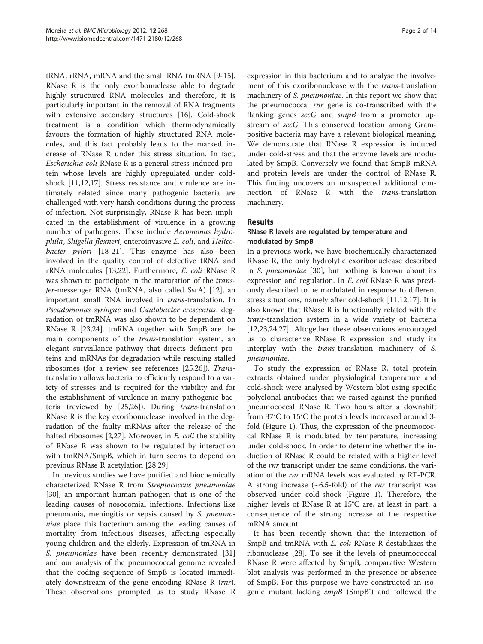tRNA, rRNA, mRNA and the small RNA tmRNA [[9-15](#page-12-0)]. RNase R is the only exoribonuclease able to degrade highly structured RNA molecules and therefore, it is particularly important in the removal of RNA fragments with extensive secondary structures [\[16](#page-12-0)]. Cold-shock treatment is a condition which thermodynamically favours the formation of highly structured RNA molecules, and this fact probably leads to the marked increase of RNase R under this stress situation. In fact, Escherichia coli RNase R is a general stress-induced protein whose levels are highly upregulated under coldshock [\[11,12,17](#page-12-0)]. Stress resistance and virulence are intimately related since many pathogenic bacteria are challenged with very harsh conditions during the process of infection. Not surprisingly, RNase R has been implicated in the establishment of virulence in a growing number of pathogens. These include Aeromonas hydrophila, Shigella flexneri, enteroinvasive E. coli, and Helicobacter pylori [\[18](#page-12-0)-[21](#page-12-0)]. This enzyme has also been involved in the quality control of defective tRNA and rRNA molecules [[13,22](#page-12-0)]. Furthermore, E. coli RNase R was shown to participate in the maturation of the *trans*fer-messenger RNA (tmRNA, also called SsrA) [\[12](#page-12-0)], an important small RNA involved in trans-translation. In Pseudomonas syringae and Caulobacter crescentus, degradation of tmRNA was also shown to be dependent on RNase R [[23](#page-12-0),[24](#page-12-0)]. tmRNA together with SmpB are the main components of the *trans*-translation system, an elegant surveillance pathway that directs deficient proteins and mRNAs for degradation while rescuing stalled ribosomes (for a review see references [\[25,26](#page-12-0)]). Transtranslation allows bacteria to efficiently respond to a variety of stresses and is required for the viability and for the establishment of virulence in many pathogenic bacteria (reviewed by [[25](#page-12-0),[26](#page-12-0)]). During trans-translation RNase R is the key exoribonuclease involved in the degradation of the faulty mRNAs after the release of the halted ribosomes [\[2](#page-11-0)[,27\]](#page-12-0). Moreover, in E. coli the stability of RNase R was shown to be regulated by interaction with tmRNA/SmpB, which in turn seems to depend on previous RNase R acetylation [[28](#page-12-0),[29](#page-12-0)].

In previous studies we have purified and biochemically characterized RNase R from Streptococcus pneumoniae [[30\]](#page-12-0), an important human pathogen that is one of the leading causes of nosocomial infections. Infections like pneumonia, meningitis or sepsis caused by S. pneumoniae place this bacterium among the leading causes of mortality from infectious diseases, affecting especially young children and the elderly. Expression of tmRNA in S. *pneumoniae* have been recently demonstrated [[31](#page-12-0)] and our analysis of the pneumococcal genome revealed that the coding sequence of SmpB is located immediately downstream of the gene encoding RNase R (rnr). These observations prompted us to study RNase R

expression in this bacterium and to analyse the involvement of this exoribonuclease with the trans-translation machinery of S. pneumoniae. In this report we show that the pneumococcal rnr gene is co-transcribed with the flanking genes secG and smpB from a promoter upstream of secG. This conserved location among Grampositive bacteria may have a relevant biological meaning. We demonstrate that RNase R expression is induced under cold-stress and that the enzyme levels are modulated by SmpB. Conversely we found that SmpB mRNA and protein levels are under the control of RNase R. This finding uncovers an unsuspected additional connection of RNase R with the *trans*-translation machinery.

# Results

### RNase R levels are regulated by temperature and modulated by SmpB

In a previous work, we have biochemically characterized RNase R, the only hydrolytic exoribonuclease described in S. pneumoniae [[30](#page-12-0)], but nothing is known about its expression and regulation. In E. coli RNase R was previously described to be modulated in response to different stress situations, namely after cold-shock [\[11,12,17](#page-12-0)]. It is also known that RNase R is functionally related with the trans-translation system in a wide variety of bacteria [[12,23,24,27\]](#page-12-0). Altogether these observations encouraged us to characterize RNase R expression and study its interplay with the trans-translation machinery of S. pneumoniae.

To study the expression of RNase R, total protein extracts obtained under physiological temperature and cold-shock were analysed by Western blot using specific polyclonal antibodies that we raised against the purified pneumococcal RNase R. Two hours after a downshift from 37°C to 15°C the protein levels increased around 3 fold (Figure [1](#page-2-0)). Thus, the expression of the pneumococcal RNase R is modulated by temperature, increasing under cold-shock. In order to determine whether the induction of RNase R could be related with a higher level of the *rnr* transcript under the same conditions, the variation of the *rnr* mRNA levels was evaluated by RT-PCR. A strong increase  $(\sim 6.5\text{-fold})$  of the *rm* transcript was observed under cold-shock (Figure [1](#page-2-0)). Therefore, the higher levels of RNase R at 15°C are, at least in part, a consequence of the strong increase of the respective mRNA amount.

It has been recently shown that the interaction of SmpB and tmRNA with E. coli RNase R destabilizes the ribonuclease [\[28](#page-12-0)]. To see if the levels of pneumococcal RNase R were affected by SmpB, comparative Western blot analysis was performed in the presence or absence of SmpB. For this purpose we have constructed an isogenic mutant lacking  $\textit{supB}$  (SmpB<sup>-</sup>) and followed the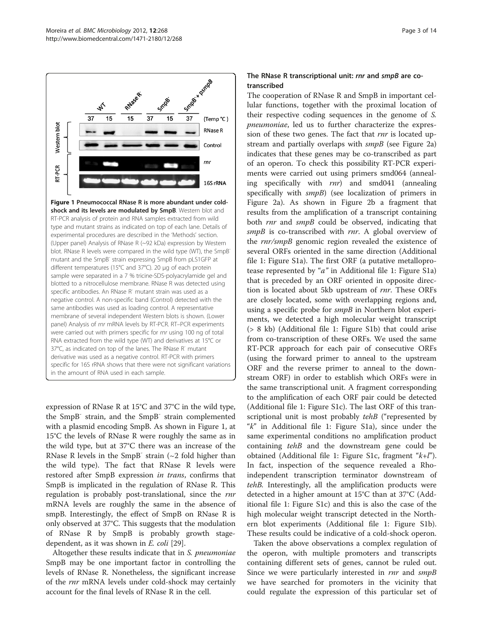<span id="page-2-0"></span>

shock and its levels are modulated by SmpB. Western blot and RT-PCR analysis of protein and RNA samples extracted from wild type and mutant strains as indicated on top of each lane. Details of experimental procedures are described in the 'Methods' section. (Upper panel) Analysis of RNase R (~92 kDa) expression by Western blot. RNase R levels were compared in the wild type (WT), the SmpBmutant and the SmpB- strain expressing SmpB from pLS1GFP at different temperatures (15°C and 37°C). 20 μg of each protein sample were separated in a 7 % tricine-SDS-polyacrylamide gel and blotted to a nitrocellulose membrane. RNase R was detected using specific antibodies. An RNase R<sup>-</sup> mutant strain was used as a negative control. A non-specific band (Control) detected with the same antibodies was used as loading control. A representative membrane of several independent Western blots is shown. (Lower panel) Analysis of rnr mRNA levels by RT-PCR. RT–PCR experiments were carried out with primers specific for rnr using 100 ng of total RNA extracted from the wild type (WT) and derivatives at 15°C or 37°C, as indicated on top of the lanes. The RNase R<sup>-</sup> mutant derivative was used as a negative control. RT-PCR with primers specific for 16S rRNA shows that there were not significant variations in the amount of RNA used in each sample.

expression of RNase R at 15°C and 37°C in the wild type, the SmpB- strain, and the SmpB- strain complemented with a plasmid encoding SmpB. As shown in Figure 1, at 15°C the levels of RNase R were roughly the same as in the wild type, but at 37°C there was an increase of the RNase R levels in the SmpB<sup>-</sup> strain ( $\sim$ 2 fold higher than the wild type). The fact that RNase R levels were restored after SmpB expression in trans, confirms that SmpB is implicated in the regulation of RNase R. This regulation is probably post-translational, since the rnr mRNA levels are roughly the same in the absence of smpB. Interestingly, the effect of SmpB on RNase R is only observed at 37°C. This suggests that the modulation of RNase R by SmpB is probably growth stage-dependent, as it was shown in E. coli [[29\]](#page-12-0).

Altogether these results indicate that in S. pneumoniae SmpB may be one important factor in controlling the levels of RNase R. Nonetheless, the significant increase of the rnr mRNA levels under cold-shock may certainly account for the final levels of RNase R in the cell.

#### The RNase R transcriptional unit: rnr and smpB are cotranscribed

The cooperation of RNase R and SmpB in important cellular functions, together with the proximal location of their respective coding sequences in the genome of S. pneumoniae, led us to further characterize the expression of these two genes. The fact that rnr is located upstream and partially overlaps with  $\textit{supB}$  (see Figure [2a](#page-3-0)) indicates that these genes may be co-transcribed as part of an operon. To check this possibility RT-PCR experiments were carried out using primers smd064 (annealing specifically with rnr) and smd041 (annealing specifically with smpB) (see localization of primers in Figure [2a\)](#page-3-0). As shown in Figure [2b](#page-3-0) a fragment that results from the amplification of a transcript containing both rnr and smpB could be observed, indicating that smpB is co-transcribed with rnr. A global overview of the rnr/smpB genomic region revealed the existence of several ORFs oriented in the same direction (Additional file [1](#page-11-0): Figure S1a). The first ORF (a putative metalloprotease represented by " $a$ " in Additional file [1](#page-11-0): Figure S1a) that is preceded by an ORF oriented in opposite direction is located about 5kb upstream of rnr. These ORFs are closely located, some with overlapping regions and, using a specific probe for *smpB* in Northern blot experiments, we detected a high molecular weight transcript (> 8 kb) (Additional file [1:](#page-11-0) Figure S1b) that could arise from co-transcription of these ORFs. We used the same RT-PCR approach for each pair of consecutive ORFs (using the forward primer to anneal to the upstream ORF and the reverse primer to anneal to the downstream ORF) in order to establish which ORFs were in the same transcriptional unit. A fragment corresponding to the amplification of each ORF pair could be detected (Additional file [1](#page-11-0): Figure S1c). The last ORF of this transcriptional unit is most probably tehB ("represented by " $k$ " in Additional file [1](#page-11-0): Figure S1a), since under the same experimental conditions no amplification product containing tehB and the downstream gene could be obtained (Additional file [1:](#page-11-0) Figure S1c, fragment "k+l"). In fact, inspection of the sequence revealed a Rhoindependent transcription terminator downstream of tehB. Interestingly, all the amplification products were detected in a higher amount at 15°C than at 37°C (Additional file [1:](#page-11-0) Figure S1c) and this is also the case of the high molecular weight transcript detected in the Northern blot experiments (Additional file [1](#page-11-0): Figure S1b). These results could be indicative of a cold-shock operon.

Taken the above observations a complex regulation of the operon, with multiple promoters and transcripts containing different sets of genes, cannot be ruled out. Since we were particularly interested in rnr and smpB we have searched for promoters in the vicinity that could regulate the expression of this particular set of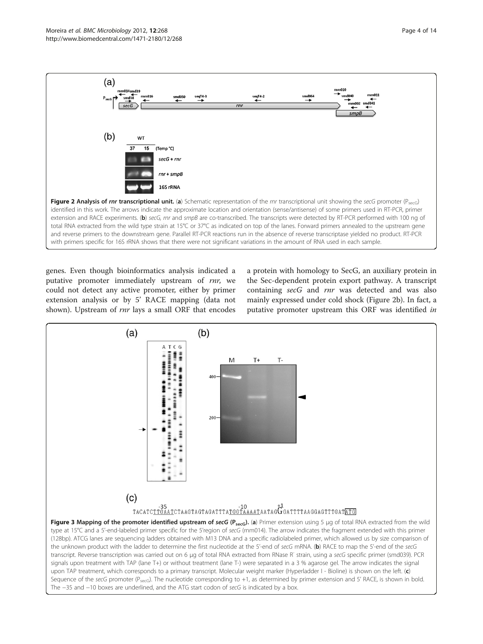

<span id="page-3-0"></span>

genes. Even though bioinformatics analysis indicated a putative promoter immediately upstream of rnr, we could not detect any active promoter, either by primer extension analysis or by 5' RACE mapping (data not shown). Upstream of rnr lays a small ORF that encodes

a protein with homology to SecG, an auxiliary protein in the Sec-dependent protein export pathway. A transcript containing secG and rnr was detected and was also mainly expressed under cold shock (Figure 2b). In fact, a putative promoter upstream this ORF was identified in

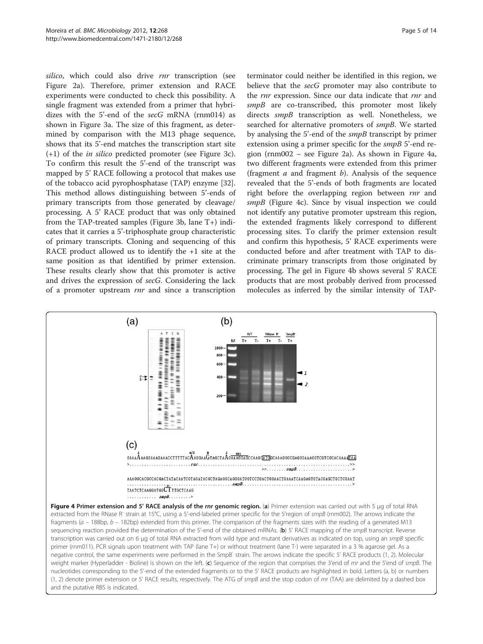<span id="page-4-0"></span>silico, which could also drive rnr transcription (see Figure [2a](#page-3-0)). Therefore, primer extension and RACE experiments were conducted to check this possibility. A single fragment was extended from a primer that hybridizes with the 5'-end of the secG mRNA (rnm014) as shown in Figure [3a](#page-3-0). The size of this fragment, as determined by comparison with the M13 phage sequence, shows that its 5'-end matches the transcription start site (+1) of the in silico predicted promoter (see Figure [3c](#page-3-0)). To confirm this result the 5'-end of the transcript was mapped by 5' RACE following a protocol that makes use of the tobacco acid pyrophosphatase (TAP) enzyme [\[32](#page-12-0)]. This method allows distinguishing between 5'-ends of primary transcripts from those generated by cleavage/ processing. A 5' RACE product that was only obtained from the TAP-treated samples (Figure [3b](#page-3-0), lane T+) indicates that it carries a 5'-triphosphate group characteristic of primary transcripts. Cloning and sequencing of this RACE product allowed us to identify the +1 site at the same position as that identified by primer extension. These results clearly show that this promoter is active and drives the expression of secG. Considering the lack of a promoter upstream *rnr* and since a transcription

terminator could neither be identified in this region, we believe that the secG promoter may also contribute to the rnr expression. Since our data indicate that rnr and smpB are co-transcribed, this promoter most likely directs smpB transcription as well. Nonetheless, we searched for alternative promoters of smpB. We started by analysing the 5'-end of the smpB transcript by primer extension using a primer specific for the *smpB* 5'-end region (rnm002 – see Figure [2a\)](#page-3-0). As shown in Figure 4a, two different fragments were extended from this primer (fragment  $a$  and fragment  $b$ ). Analysis of the sequence revealed that the 5'-ends of both fragments are located right before the overlapping region between rnr and smpB (Figure 4c). Since by visual inspection we could not identify any putative promoter upstream this region, the extended fragments likely correspond to different processing sites. To clarify the primer extension result and confirm this hypothesis, 5' RACE experiments were conducted before and after treatment with TAP to discriminate primary transcripts from those originated by processing. The gel in Figure 4b shows several 5' RACE products that are most probably derived from processed molecules as inferred by the similar intensity of TAP-

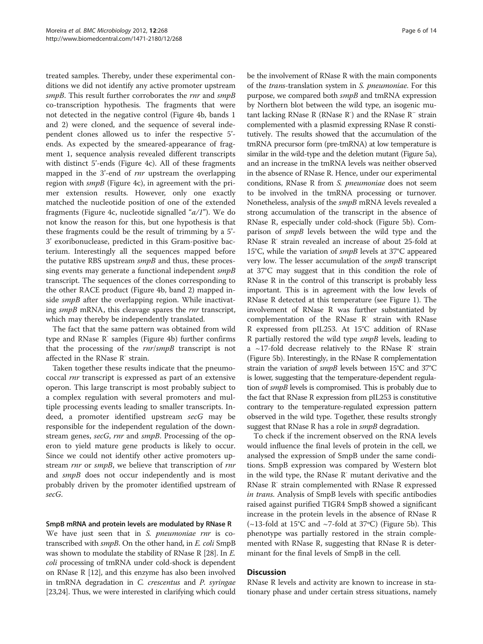treated samples. Thereby, under these experimental conditions we did not identify any active promoter upstream smpB. This result further corroborates the rnr and smpB co-transcription hypothesis. The fragments that were not detected in the negative control (Figure [4b,](#page-4-0) bands 1 and 2) were cloned, and the sequence of several independent clones allowed us to infer the respective 5' ends. As expected by the smeared-appearance of fragment 1, sequence analysis revealed different transcripts with distinct 5'-ends (Figure [4c\)](#page-4-0). All of these fragments mapped in the 3'-end of rnr upstream the overlapping region with smpB (Figure [4c](#page-4-0)), in agreement with the primer extension results. However, only one exactly matched the nucleotide position of one of the extended fragments (Figure [4c](#page-4-0), nucleotide signalled " $a/I$ "). We do not know the reason for this, but one hypothesis is that these fragments could be the result of trimming by a 5'- 3' exoribonuclease, predicted in this Gram-positive bacterium. Interestingly all the sequences mapped before the putative RBS upstream *smpB* and thus, these processing events may generate a functional independent smpB transcript. The sequences of the clones corresponding to the other RACE product (Figure [4b](#page-4-0), band 2) mapped inside *smpB* after the overlapping region. While inactivating smpB mRNA, this cleavage spares the rnr transcript, which may thereby be independently translated.

The fact that the same pattern was obtained from wild type and RNase  $R^-$  samples (Figure [4b\)](#page-4-0) further confirms that the processing of the rnr/smpB transcript is not affected in the RNase R<sup>-</sup> strain.

Taken together these results indicate that the pneumococcal rnr transcript is expressed as part of an extensive operon. This large transcript is most probably subject to a complex regulation with several promoters and multiple processing events leading to smaller transcripts. Indeed, a promoter identified upstream secG may be responsible for the independent regulation of the downstream genes, secG, rnr and smpB. Processing of the operon to yield mature gene products is likely to occur. Since we could not identify other active promoters upstream *rnr* or *smpB*, we believe that transcription of *rnr* and *smpB* does not occur independently and is most probably driven by the promoter identified upstream of secG.

SmpB mRNA and protein levels are modulated by RNase R We have just seen that in S. *pneumoniae rnr* is cotranscribed with smpB. On the other hand, in E. coli SmpB was shown to modulate the stability of RNase R [\[28\]](#page-12-0). In E. coli processing of tmRNA under cold-shock is dependent on RNase R [[12](#page-12-0)], and this enzyme has also been involved in tmRNA degradation in C. crescentus and P. syringae [[23,24](#page-12-0)]. Thus, we were interested in clarifying which could be the involvement of RNase R with the main components of the trans-translation system in S. pneumoniae. For this purpose, we compared both *smpB* and tmRNA expression by Northern blot between the wild type, an isogenic mutant lacking RNase R (RNase R<sup>-</sup>) and the RNase R<sup>-</sup> strain complemented with a plasmid expressing RNase R constitutively. The results showed that the accumulation of the tmRNA precursor form (pre-tmRNA) at low temperature is similar in the wild-type and the deletion mutant (Figure [5a](#page-6-0)), and an increase in the tmRNA levels was neither observed in the absence of RNase R. Hence, under our experimental conditions, RNase R from S. pneumoniae does not seem to be involved in the tmRNA processing or turnover. Nonetheless, analysis of the smpB mRNA levels revealed a strong accumulation of the transcript in the absence of RNase R, especially under cold-shock (Figure [5b](#page-6-0)). Comparison of smpB levels between the wild type and the RNase R<sup>-</sup> strain revealed an increase of about 25-fold at 15°C, while the variation of smpB levels at 37°C appeared very low. The lesser accumulation of the  $\textit{supB}$  transcript at 37°C may suggest that in this condition the role of RNase R in the control of this transcript is probably less important. This is in agreement with the low levels of RNase R detected at this temperature (see Figure [1](#page-2-0)). The involvement of RNase R was further substantiated by complementation of the RNase R<sup>-</sup> strain with RNase R expressed from pIL253. At 15°C addition of RNase R partially restored the wild type  $\textit{supB}$  levels, leading to a  $\sim$ 17-fold decrease relatively to the RNase R<sup>-</sup> strain (Figure [5b\)](#page-6-0). Interestingly, in the RNase R complementation strain the variation of smpB levels between 15°C and 37°C is lower, suggesting that the temperature-dependent regulation of smpB levels is compromised. This is probably due to the fact that RNase R expression from pIL253 is constitutive contrary to the temperature-regulated expression pattern observed in the wild type. Together, these results strongly suggest that RNase R has a role in *smpB* degradation.

To check if the increment observed on the RNA levels would influence the final levels of protein in the cell, we analysed the expression of SmpB under the same conditions. SmpB expression was compared by Western blot in the wild type, the RNase  $R^-$  mutant derivative and the RNase R<sup>-</sup> strain complemented with RNase R expressed in trans. Analysis of SmpB levels with specific antibodies raised against purified TIGR4 SmpB showed a significant increase in the protein levels in the absence of RNase R ( $\sim$ 13-fold at 15°C and  $\sim$ 7-fold at 37°C) (Figure [5b\)](#page-6-0). This phenotype was partially restored in the strain complemented with RNase R, suggesting that RNase R is determinant for the final levels of SmpB in the cell.

#### Discussion

RNase R levels and activity are known to increase in stationary phase and under certain stress situations, namely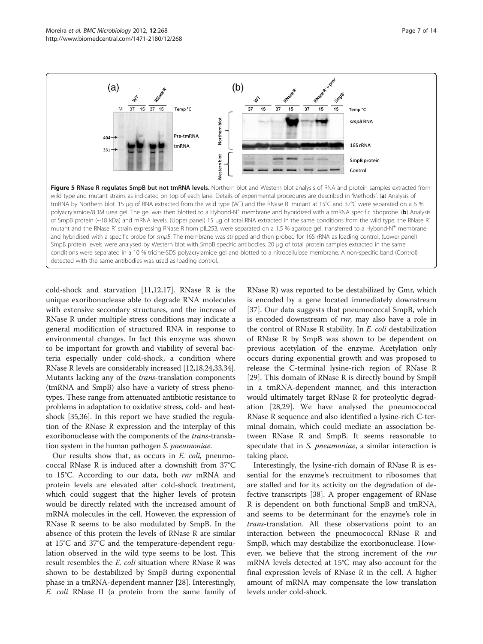<span id="page-6-0"></span>

cold-shock and starvation [\[11,12,17\]](#page-12-0). RNase R is the unique exoribonuclease able to degrade RNA molecules with extensive secondary structures, and the increase of RNase R under multiple stress conditions may indicate a general modification of structured RNA in response to environmental changes. In fact this enzyme was shown to be important for growth and viability of several bacteria especially under cold-shock, a condition where RNase R levels are considerably increased [\[12,18,24,33,34](#page-12-0)]. Mutants lacking any of the trans-translation components (tmRNA and SmpB) also have a variety of stress phenotypes. These range from attenuated antibiotic resistance to problems in adaptation to oxidative stress, cold- and heatshock [[35,36](#page-12-0)]. In this report we have studied the regulation of the RNase R expression and the interplay of this exoribonuclease with the components of the *trans*-translation system in the human pathogen S. pneumoniae.

Our results show that, as occurs in E. coli, pneumococcal RNase R is induced after a downshift from 37°C to 15°C. According to our data, both rnr mRNA and protein levels are elevated after cold-shock treatment, which could suggest that the higher levels of protein would be directly related with the increased amount of mRNA molecules in the cell. However, the expression of RNase R seems to be also modulated by SmpB. In the absence of this protein the levels of RNase R are similar at 15°C and 37°C and the temperature-dependent regulation observed in the wild type seems to be lost. This result resembles the E. coli situation where RNase R was shown to be destabilized by SmpB during exponential phase in a tmRNA-dependent manner [\[28](#page-12-0)]. Interestingly, E. coli RNase II (a protein from the same family of

RNase R) was reported to be destabilized by Gmr, which is encoded by a gene located immediately downstream [[37\]](#page-12-0). Our data suggests that pneumococcal SmpB, which is encoded downstream of rnr, may also have a role in the control of RNase R stability. In E. coli destabilization of RNase R by SmpB was shown to be dependent on previous acetylation of the enzyme. Acetylation only occurs during exponential growth and was proposed to release the C-terminal lysine-rich region of RNase R [[29\]](#page-12-0). This domain of RNase R is directly bound by SmpB in a tmRNA-dependent manner, and this interaction would ultimately target RNase R for proteolytic degradation [[28,29\]](#page-12-0). We have analysed the pneumococcal RNase R sequence and also identified a lysine-rich C-terminal domain, which could mediate an association between RNase R and SmpB. It seems reasonable to speculate that in S. pneumoniae, a similar interaction is taking place.

Interestingly, the lysine-rich domain of RNase R is essential for the enzyme's recruitment to ribosomes that are stalled and for its activity on the degradation of defective transcripts [[38](#page-12-0)]. A proper engagement of RNase R is dependent on both functional SmpB and tmRNA, and seems to be determinant for the enzyme's role in trans-translation. All these observations point to an interaction between the pneumococcal RNase R and SmpB, which may destabilize the exoribonuclease. However, we believe that the strong increment of the rnr mRNA levels detected at 15°C may also account for the final expression levels of RNase R in the cell. A higher amount of mRNA may compensate the low translation levels under cold-shock.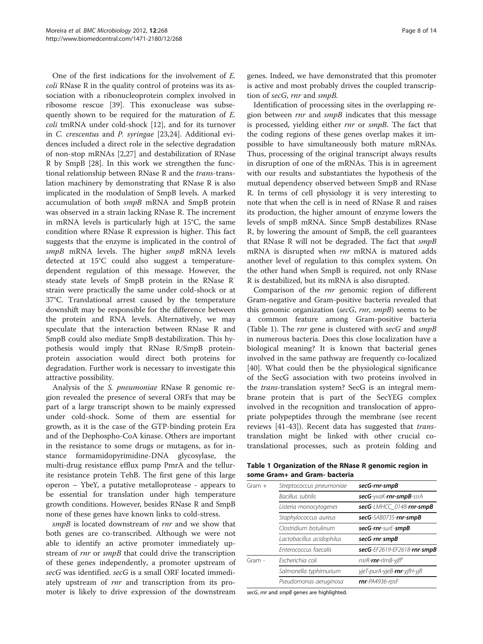One of the first indications for the involvement of E. coli RNase R in the quality control of proteins was its association with a ribonucleoprotein complex involved in ribosome rescue [\[39\]](#page-12-0). This exonuclease was subsequently shown to be required for the maturation of E. coli tmRNA under cold-shock [\[12\]](#page-12-0), and for its turnover in C. crescentus and P. syringae [\[23,24\]](#page-12-0). Additional evidences included a direct role in the selective degradation of non-stop mRNAs [\[2,](#page-11-0)[27\]](#page-12-0) and destabilization of RNase R by SmpB [\[28](#page-12-0)]. In this work we strengthen the functional relationship between RNase R and the trans-translation machinery by demonstrating that RNase R is also implicated in the modulation of SmpB levels. A marked accumulation of both smpB mRNA and SmpB protein was observed in a strain lacking RNase R. The increment in mRNA levels is particularly high at 15°C, the same condition where RNase R expression is higher. This fact suggests that the enzyme is implicated in the control of smpB mRNA levels. The higher smpB mRNA levels detected at 15°C could also suggest a temperaturedependent regulation of this message. However, the steady state levels of SmpB protein in the RNase Rstrain were practically the same under cold-shock or at 37°C. Translational arrest caused by the temperature downshift may be responsible for the difference between the protein and RNA levels. Alternatively, we may speculate that the interaction between RNase R and SmpB could also mediate SmpB destabilization. This hypothesis would imply that RNase R/SmpB proteinprotein association would direct both proteins for degradation. Further work is necessary to investigate this attractive possibility.

Analysis of the S. pneumoniae RNase R genomic region revealed the presence of several ORFs that may be part of a large transcript shown to be mainly expressed under cold-shock. Some of them are essential for growth, as it is the case of the GTP-binding protein Era and of the Dephospho-CoA kinase. Others are important in the resistance to some drugs or mutagens, as for instance formamidopyrimidine-DNA glycosylase, the multi-drug resistance efflux pump PmrA and the tellurite resistance protein TehB. The first gene of this large operon – YbeY, a putative metalloprotease - appears to be essential for translation under high temperature growth conditions. However, besides RNase R and SmpB none of these genes have known links to cold-stress.

 $smpB$  is located downstream of  $rnr$  and we show that both genes are co-transcribed. Although we were not able to identify an active promoter immediately upstream of *rnr* or *smpB* that could drive the transcription of these genes independently, a promoter upstream of secG was identified. secG is a small ORF located immediately upstream of rnr and transcription from its promoter is likely to drive expression of the downstream genes. Indeed, we have demonstrated that this promoter is active and most probably drives the coupled transcription of secG, rnr and smpB.

Identification of processing sites in the overlapping region between rnr and smpB indicates that this message is processed, yielding either rnr or smpB. The fact that the coding regions of these genes overlap makes it impossible to have simultaneously both mature mRNAs. Thus, processing of the original transcript always results in disruption of one of the mRNAs. This is in agreement with our results and substantiates the hypothesis of the mutual dependency observed between SmpB and RNase R. In terms of cell physiology it is very interesting to note that when the cell is in need of RNase R and raises its production, the higher amount of enzyme lowers the levels of smpB mRNA. Since SmpB destabilizes RNase R, by lowering the amount of SmpB, the cell guarantees that RNase R will not be degraded. The fact that smpB mRNA is disrupted when rnr mRNA is matured adds another level of regulation to this complex system. On the other hand when SmpB is required, not only RNase R is destabilized, but its mRNA is also disrupted.

Comparison of the rnr genomic region of different Gram-negative and Gram-positive bacteria revealed that this genomic organization (secG, rnr, smpB) seems to be a common feature among Gram-positive bacteria (Table 1). The  $rnr$  gene is clustered with  $secG$  and  $smpB$ in numerous bacteria. Does this close localization have a biological meaning? It is known that bacterial genes involved in the same pathway are frequently co-localized [[40\]](#page-12-0). What could then be the physiological significance of the SecG association with two proteins involved in the trans-translation system? SecG is an integral membrane protein that is part of the SecYEG complex involved in the recognition and translocation of appropriate polypeptides through the membrane (see recent reviews [\[41](#page-12-0)-[43\]](#page-12-0)). Recent data has suggested that *trans*translation might be linked with other crucial cotranslational processes, such as protein folding and

Table 1 Organization of the RNase R genomic region in some Gram+ and Gram- bacteria

| $Gram +$ | Streptococcus pneumoniae  | secG-rnr-smpB                            |
|----------|---------------------------|------------------------------------------|
|          | <b>Bacillus</b> subtilis  | secG-yvaK-rnr-smpB-ssrA                  |
|          | Listeria monocytogenes    | secG-LMHCC 0148-rnr-smpB                 |
|          | Staphylococcus aureus     | secG-SAB0735-rnr-smpB                    |
|          | Clostridium botulinum     | secG-rnr-surE-smpB                       |
|          | Lactobacillus acidophilus | secG-rnr-smpB                            |
|          | Enterococcus faecalis     | secG-EF2619-EF2618-rnr-smpB              |
| $Gram -$ | Escherichia coli          | nsrR- <b>rnr</b> -rlmB-yifl <sup>a</sup> |
|          | Salmonella typhimurium    | yjeT-purA-yjeB-rnr-yjfH-yjfl             |
|          | Pseudomonas aeruginosa    | rnr-PA4936-rpsF                          |

secG, rnr and smpB genes are highlighted.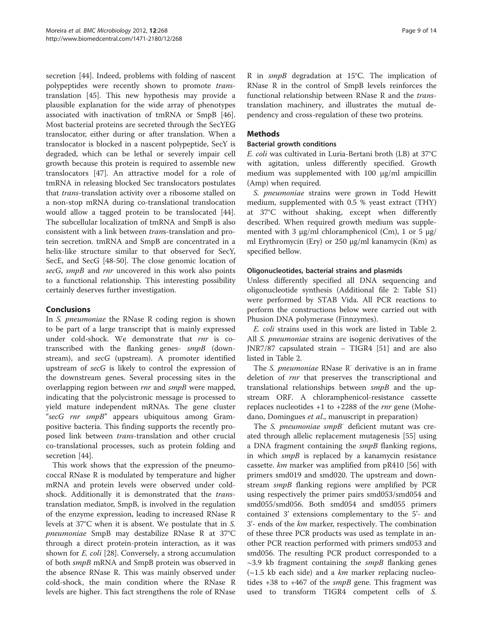secretion [\[44](#page-12-0)]. Indeed, problems with folding of nascent polypeptides were recently shown to promote transtranslation [[45](#page-12-0)]. This new hypothesis may provide a plausible explanation for the wide array of phenotypes associated with inactivation of tmRNA or SmpB [\[46](#page-12-0)]. Most bacterial proteins are secreted through the SecYEG translocator, either during or after translation. When a translocator is blocked in a nascent polypeptide, SecY is degraded, which can be lethal or severely impair cell growth because this protein is required to assemble new translocators [\[47](#page-12-0)]. An attractive model for a role of tmRNA in releasing blocked Sec translocators postulates that trans-translation activity over a ribosome stalled on a non-stop mRNA during co-translational translocation would allow a tagged protein to be translocated [\[44](#page-12-0)]. The subcellular localization of tmRNA and SmpB is also consistent with a link between trans-translation and protein secretion. tmRNA and SmpB are concentrated in a helix-like structure similar to that observed for SecY, SecE, and SecG [[48-50](#page-12-0)]. The close genomic location of secG, smpB and rnr uncovered in this work also points to a functional relationship. This interesting possibility certainly deserves further investigation.

# Conclusions

In S. pneumoniae the RNase R coding region is shown to be part of a large transcript that is mainly expressed under cold-shock. We demonstrate that rnr is cotranscribed with the flanking genes- smpB (downstream), and secG (upstream). A promoter identified upstream of secG is likely to control the expression of the downstream genes. Several processing sites in the overlapping region between rnr and smpB were mapped, indicating that the polycistronic message is processed to yield mature independent mRNAs. The gene cluster "secG rnr smpB" appears ubiquitous among Grampositive bacteria. This finding supports the recently proposed link between trans-translation and other crucial co-translational processes, such as protein folding and secretion [[44\]](#page-12-0).

This work shows that the expression of the pneumococcal RNase R is modulated by temperature and higher mRNA and protein levels were observed under coldshock. Additionally it is demonstrated that the transtranslation mediator, SmpB, is involved in the regulation of the enzyme expression, leading to increased RNase R levels at 37°C when it is absent. We postulate that in S. pneumoniae SmpB may destabilize RNase R at 37°C through a direct protein-protein interaction, as it was shown for *E. coli* [\[28](#page-12-0)]. Conversely, a strong accumulation of both smpB mRNA and SmpB protein was observed in the absence RNase R. This was mainly observed under cold-shock, the main condition where the RNase R levels are higher. This fact strengthens the role of RNase R in smpB degradation at 15°C. The implication of RNase R in the control of SmpB levels reinforces the functional relationship between RNase R and the transtranslation machinery, and illustrates the mutual dependency and cross-regulation of these two proteins.

# Methods

#### Bacterial growth conditions

E. coli was cultivated in Luria-Bertani broth (LB) at 37°C with agitation, unless differently specified. Growth medium was supplemented with 100 μg/ml ampicillin (Amp) when required.

S. pneumoniae strains were grown in Todd Hewitt medium, supplemented with 0.5 % yeast extract (THY) at 37°C without shaking, except when differently described. When required growth medium was supplemented with 3 μg/ml chloramphenicol (Cm), 1 or 5 μg/ ml Erythromycin (Ery) or 250 μg/ml kanamycin (Km) as specified bellow.

#### Oligonucleotides, bacterial strains and plasmids

Unless differently specified all DNA sequencing and oligonucleotide synthesis (Additional file [2](#page-11-0): Table S1) were performed by STAB Vida. All PCR reactions to perform the constructions below were carried out with Phusion DNA polymerase (Finnzymes).

E. coli strains used in this work are listed in Table [2](#page-9-0). All S. pneumoniae strains are isogenic derivatives of the JNR7/87 capsulated strain – TIGR4 [\[51](#page-12-0)] and are also listed in Table [2](#page-9-0).

The *S. pneumoniae* RNase R<sup>-</sup> derivative is an in frame deletion of rnr that preserves the transcriptional and translational relationships between smpB and the upstream ORF. A chloramphenicol-resistance cassette replaces nucleotides  $+1$  to  $+2288$  of the *rnr* gene (Mohedano, Domingues et al., manuscript in preparation)

The *S. pneumoniae smpB* deficient mutant was created through allelic replacement mutagenesis [\[55\]](#page-13-0) using a DNA fragment containing the smpB flanking regions, in which *smpB* is replaced by a kanamycin resistance cassette. km marker was amplified from pR410 [[56](#page-13-0)] with primers smd019 and smd020. The upstream and downstream *smpB* flanking regions were amplified by PCR using respectively the primer pairs smd053/smd054 and smd055/smd056. Both smd054 and smd055 primers contained 3' extensions complementary to the 5'- and 3'- ends of the km marker, respectively. The combination of these three PCR products was used as template in another PCR reaction performed with primers smd053 and smd056. The resulting PCR product corresponded to a  $\sim$ 3.9 kb fragment containing the *smpB* flanking genes  $(\sim 1.5$  kb each side) and a km marker replacing nucleotides  $+38$  to  $+467$  of the *smpB* gene. This fragment was used to transform TIGR4 competent cells of S.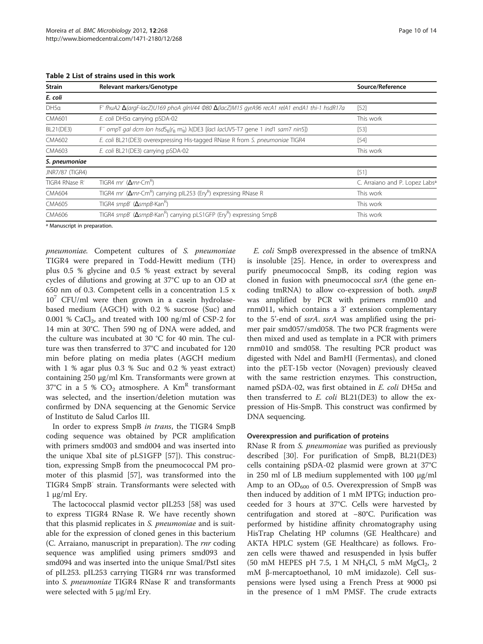| <b>Strain</b>              | Relevant markers/Genotype                                                                                                        | Source/Reference                           |
|----------------------------|----------------------------------------------------------------------------------------------------------------------------------|--------------------------------------------|
| E. coli                    |                                                                                                                                  |                                            |
| DH5a                       | F' fhuA2 $\Delta$ (argF-lacZ)U169 phoA glnV44 $\Phi$ 80 $\Delta$ (lacZ)M15 gyrA96 recA1 relA1 endA1 thi-1 hsdR17a                | [52]                                       |
| <b>CMA601</b>              | E. coli DH5a carrying pSDA-02                                                                                                    | This work                                  |
| BL21(DE3)                  | $F^-$ ompT gal dcm lon hsdS <sub>B</sub> (r <sub>B</sub> m <sub>B</sub> ) $\lambda$ (DE3 [lacl lacUV5-T7 gene 1 ind1 sam7 nin5]) | [53]                                       |
| <b>CMA602</b>              | E. coli BL21(DE3) overexpressing His-tagged RNase R from S. pneumoniae TIGR4                                                     | [54]                                       |
| <b>CMA603</b>              | E. coli BL21(DE3) carrying pSDA-02                                                                                               | This work                                  |
| S. pneumoniae              |                                                                                                                                  |                                            |
| JNR7/87 (TIGR4)            |                                                                                                                                  | [51]                                       |
| TIGR4 RNase R <sup>-</sup> | TIGR4 $rnr$ ( $\Delta rnr$ -Cm <sup>R</sup> )                                                                                    | C. Arraiano and P. Lopez Labs <sup>a</sup> |
| <b>CMA604</b>              | TIGR4 rnr (Arnr-Cm <sup>R</sup> ) carrying pIL253 (Ery <sup>R</sup> ) expressing RNase R                                         | This work                                  |
| <b>CMA605</b>              | TIGR4 $smpB$ ( $\Delta smpB$ -Kan <sup>R</sup> )                                                                                 | This work                                  |
| <b>CMA606</b>              | TIGR4 smpB <sup>-</sup> ( $\Delta$ smpB-Kan <sup>R</sup> ) carrying pLS1GFP (Ery <sup>R</sup> ) expressing SmpB                  | This work                                  |

<span id="page-9-0"></span>Table 2 List of strains used in this work

ª Manuscript in preparation.

pneumoniae. Competent cultures of S. pneumoniae TIGR4 were prepared in Todd-Hewitt medium (TH) plus 0.5 % glycine and 0.5 % yeast extract by several cycles of dilutions and growing at 37°C up to an OD at 650 nm of 0.3. Competent cells in a concentration 1.5 x  $10<sup>7</sup>$  CFU/ml were then grown in a casein hydrolasebased medium (AGCH) with 0.2 % sucrose (Suc) and 0.001 %  $CaCl<sub>2</sub>$ , and treated with 100 ng/ml of CSP-2 for 14 min at 30°C. Then 590 ng of DNA were added, and the culture was incubated at 30 °C for 40 min. The culture was then transferred to 37°C and incubated for 120 min before plating on media plates (AGCH medium with 1 % agar plus 0.3 % Suc and 0.2 % yeast extract) containing 250 μg/ml Km. Transformants were grown at 37°C in a 5 %  $CO_2$  atmosphere. A Km<sup>R</sup> transformant was selected, and the insertion/deletion mutation was confirmed by DNA sequencing at the Genomic Service of Instituto de Salud Carlos III.

In order to express SmpB in trans, the TIGR4 SmpB coding sequence was obtained by PCR amplification with primers smd003 and smd004 and was inserted into the unique XbaI site of pLS1GFP [[57\]](#page-13-0)). This construction, expressing SmpB from the pneumococcal PM promoter of this plasmid [\[57](#page-13-0)], was transformed into the TIGR4 SmpB<sup>-</sup> strain. Transformants were selected with 1 μg/ml Ery.

The lactococcal plasmid vector pIL253 [[58](#page-13-0)] was used to express TIGR4 RNase R. We have recently shown that this plasmid replicates in S. pneumoniae and is suitable for the expression of cloned genes in this bacterium (C. Arraiano, manuscript in preparation). The rnr coding sequence was amplified using primers smd093 and smd094 and was inserted into the unique SmaI/PstI sites of pIL253. pIL253 carrying TIGR4 rnr was transformed into S. pneumoniae TIGR4 RNase R<sup>-</sup> and transformants were selected with 5 μg/ml Ery.

E. coli SmpB overexpressed in the absence of tmRNA is insoluble [[25\]](#page-12-0). Hence, in order to overexpress and purify pneumococcal SmpB, its coding region was cloned in fusion with pneumococcal ssrA (the gene encoding tmRNA) to allow co-expression of both. smpB was amplified by PCR with primers rnm010 and rnm011, which contains a 3' extension complementary to the 5'-end of ssrA. ssrA was amplified using the primer pair smd057/smd058. The two PCR fragments were then mixed and used as template in a PCR with primers rnm010 and smd058. The resulting PCR product was digested with NdeI and BamHI (Fermentas), and cloned into the pET-15b vector (Novagen) previously cleaved with the same restriction enzymes. This construction, named pSDA-02, was first obtained in E. coli DH5α and then transferred to E. coli BL21(DE3) to allow the expression of His-SmpB. This construct was confirmed by DNA sequencing.

#### Overexpression and purification of proteins

RNase R from S. pneumoniae was purified as previously described [[30](#page-12-0)]. For purification of SmpB, BL21(DE3) cells containing pSDA-02 plasmid were grown at 37°C in 250 ml of LB medium supplemented with 100 μg/ml Amp to an  $OD_{600}$  of 0.5. Overexpression of SmpB was then induced by addition of 1 mM IPTG; induction proceeded for 3 hours at 37°C. Cells were harvested by centrifugation and stored at −80°C. Purification was performed by histidine affinity chromatography using HisTrap Chelating HP columns (GE Healthcare) and AKTA HPLC system (GE Healthcare) as follows. Frozen cells were thawed and resuspended in lysis buffer (50 mM HEPES pH 7.5, 1 M NH<sub>4</sub>Cl, 5 mM MgCl<sub>2</sub>, 2 mM β-mercaptoethanol, 10 mM imidazole). Cell suspensions were lysed using a French Press at 9000 psi in the presence of 1 mM PMSF. The crude extracts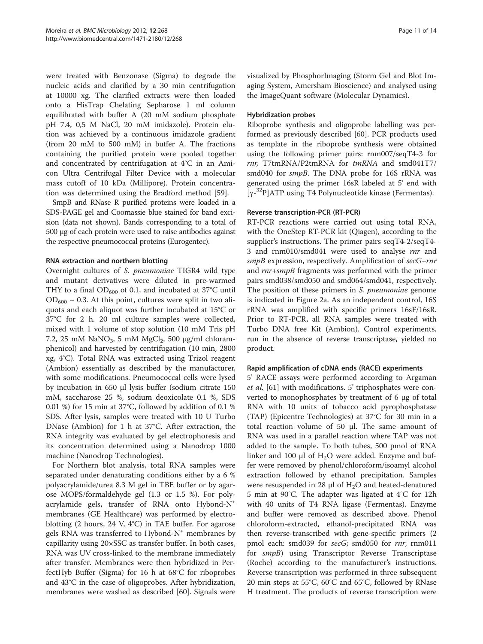were treated with Benzonase (Sigma) to degrade the nucleic acids and clarified by a 30 min centrifugation at 10000 xg. The clarified extracts were then loaded onto a HisTrap Chelating Sepharose 1 ml column equilibrated with buffer A (20 mM sodium phosphate pH 7.4, 0,5 M NaCl, 20 mM imidazole). Protein elution was achieved by a continuous imidazole gradient (from 20 mM to 500 mM) in buffer A. The fractions containing the purified protein were pooled together and concentrated by centrifugation at 4°C in an Amicon Ultra Centrifugal Filter Device with a molecular mass cutoff of 10 kDa (Millipore). Protein concentration was determined using the Bradford method [\[59](#page-13-0)].

SmpB and RNase R purified proteins were loaded in a SDS-PAGE gel and Coomassie blue stained for band excision (data not shown). Bands corresponding to a total of 500 μg of each protein were used to raise antibodies against the respective pneumococcal proteins (Eurogentec).

#### RNA extraction and northern blotting

Overnight cultures of S. pneumoniae TIGR4 wild type and mutant derivatives were diluted in pre-warmed THY to a final  $OD_{600}$  of 0.1, and incubated at 37°C until  $OD_{600} \sim 0.3$ . At this point, cultures were split in two aliquots and each aliquot was further incubated at 15°C or 37°C for 2 h. 20 ml culture samples were collected, mixed with 1 volume of stop solution (10 mM Tris pH 7.2, 25 mM NaNO<sub>3</sub>, 5 mM MgCl<sub>2</sub>, 500 μg/ml chloramphenicol) and harvested by centrifugation (10 min, 2800 xg, 4°C). Total RNA was extracted using Trizol reagent (Ambion) essentially as described by the manufacturer, with some modifications. Pneumococcal cells were lysed by incubation in 650 μl lysis buffer (sodium citrate 150 mM, saccharose 25 %, sodium deoxicolate 0.1 %, SDS 0.01 %) for 15 min at 37°C, followed by addition of 0.1 % SDS. After lysis, samples were treated with 10 U Turbo DNase (Ambion) for 1 h at 37°C. After extraction, the RNA integrity was evaluated by gel electrophoresis and its concentration determined using a Nanodrop 1000 machine (Nanodrop Technologies).

For Northern blot analysis, total RNA samples were separated under denaturating conditions either by a 6 % polyacrylamide/urea 8.3 M gel in TBE buffer or by agarose MOPS/formaldehyde gel (1.3 or 1.5 %). For polyacrylamide gels, transfer of RNA onto Hybond-N<sup>+</sup> membranes (GE Healthcare) was performed by electroblotting (2 hours, 24 V, 4°C) in TAE buffer. For agarose gels RNA was transferred to Hybond- $N^+$  membranes by capillarity using 20×SSC as transfer buffer. In both cases, RNA was UV cross-linked to the membrane immediately after transfer. Membranes were then hybridized in PerfectHyb Buffer (Sigma) for 16 h at 68°C for riboprobes and 43°C in the case of oligoprobes. After hybridization, membranes were washed as described [[60\]](#page-13-0). Signals were visualized by PhosphorImaging (Storm Gel and Blot Imaging System, Amersham Bioscience) and analysed using the ImageQuant software (Molecular Dynamics).

#### Hybridization probes

Riboprobe synthesis and oligoprobe labelling was performed as previously described [[60\]](#page-13-0). PCR products used as template in the riboprobe synthesis were obtained using the following primer pairs: rnm007/seqT4-3 for rnr, T7tmRNA/P2tmRNA for tmRNA and smd041T7/ smd040 for *smpB*. The DNA probe for 16S rRNA was generated using the primer 16sR labeled at 5' end with [γ-<sup>32</sup>P]ATP using T4 Polynucleotide kinase (Fermentas).

#### Reverse transcription-PCR (RT-PCR)

RT-PCR reactions were carried out using total RNA, with the OneStep RT-PCR kit (Qiagen), according to the supplier's instructions. The primer pairs seqT4-2/seqT4- 3 and rnm010/smd041 were used to analyse rnr and smpB expression, respectively. Amplification of secG+rnr and rnr+smpB fragments was performed with the primer pairs smd038/smd050 and smd064/smd041, respectively. The position of these primers in S. *pneumoniae* genome is indicated in Figure [2a](#page-3-0). As an independent control, 16S rRNA was amplified with specific primers 16sF/16sR. Prior to RT-PCR, all RNA samples were treated with Turbo DNA free Kit (Ambion). Control experiments, run in the absence of reverse transcriptase, yielded no product.

#### Rapid amplification of cDNA ends (RACE) experiments

5' RACE assays were performed according to Argaman et al. [[61](#page-13-0)] with modifications. 5' triphosphates were converted to monophosphates by treatment of 6 μg of total RNA with 10 units of tobacco acid pyrophosphatase (TAP) (Epicentre Technologies) at 37°C for 30 min in a total reaction volume of 50 μl. The same amount of RNA was used in a parallel reaction where TAP was not added to the sample. To both tubes, 500 pmol of RNA linker and 100  $\mu$ l of H<sub>2</sub>O were added. Enzyme and buffer were removed by phenol/chloroform/isoamyl alcohol extraction followed by ethanol precipitation. Samples were resuspended in 28  $\mu$ l of H<sub>2</sub>O and heated-denatured 5 min at 90°C. The adapter was ligated at 4°C for 12h with 40 units of T4 RNA ligase (Fermentas). Enzyme and buffer were removed as described above. Phenol chloroform-extracted, ethanol-precipitated RNA was then reverse-transcribed with gene-specific primers (2 pmol each: smd039 for secG; smd050 for rnr; rnm011 for smpB) using Transcriptor Reverse Transcriptase (Roche) according to the manufacturer's instructions. Reverse transcription was performed in three subsequent 20 min steps at 55°C, 60°C and 65°C, followed by RNase H treatment. The products of reverse transcription were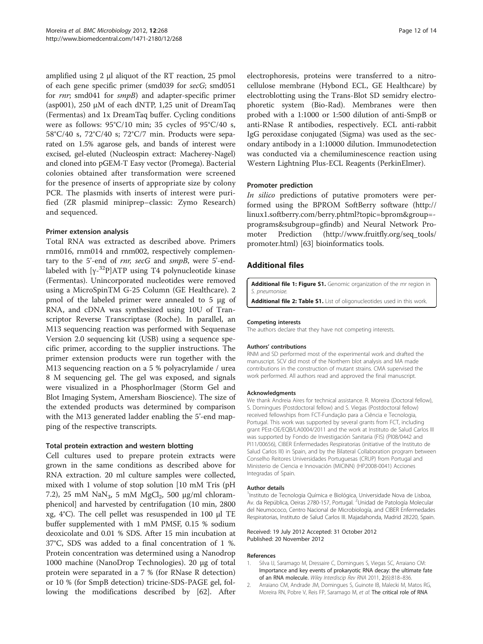<span id="page-11-0"></span>amplified using 2 μl aliquot of the RT reaction, 25 pmol of each gene specific primer (smd039 for secG; smd051 for rnr; smd041 for smpB) and adapter-specific primer (asp001), 250 μM of each dNTP, 1,25 unit of DreamTaq (Fermentas) and 1x DreamTaq buffer. Cycling conditions were as follows: 95°C/10 min; 35 cycles of 95°C/40 s, 58°C/40 s, 72°C/40 s; 72°C/7 min. Products were separated on 1.5% agarose gels, and bands of interest were excised, gel-eluted (Nucleospin extract: Macherey-Nagel) and cloned into pGEM-T Easy vector (Promega). Bacterial colonies obtained after transformation were screened for the presence of inserts of appropriate size by colony PCR. The plasmids with inserts of interest were purified (ZR plasmid miniprep–classic: Zymo Research) and sequenced.

#### Primer extension analysis

Total RNA was extracted as described above. Primers rnm016, rnm014 and rnm002, respectively complementary to the 5'-end of rnr, secG and smpB, were 5'-endlabeled with [γ-<sup>32</sup>P]ATP using T4 polynucleotide kinase (Fermentas). Unincorporated nucleotides were removed using a MicroSpinTM G-25 Column (GE Healthcare). 2 pmol of the labeled primer were annealed to 5 μg of RNA, and cDNA was synthesized using 10U of Transcriptor Reverse Transcriptase (Roche). In parallel, an M13 sequencing reaction was performed with Sequenase Version 2.0 sequencing kit (USB) using a sequence specific primer, according to the supplier instructions. The primer extension products were run together with the M13 sequencing reaction on a 5 % polyacrylamide / urea 8 M sequencing gel. The gel was exposed, and signals were visualized in a PhosphorImager (Storm Gel and Blot Imaging System, Amersham Bioscience). The size of the extended products was determined by comparison with the M13 generated ladder enabling the 5'-end mapping of the respective transcripts.

#### Total protein extraction and western blotting

Cell cultures used to prepare protein extracts were grown in the same conditions as described above for RNA extraction. 20 ml culture samples were collected, mixed with 1 volume of stop solution [10 mM Tris (pH 7.2), 25 mM  $\text{NaN}_3$ , 5 mM  $\text{MgCl}_2$ , 500  $\mu$ g/ml chloramphenicol] and harvested by centrifugation (10 min, 2800 xg, 4°C). The cell pellet was resuspended in 100 μl TE buffer supplemented with 1 mM PMSF, 0.15 % sodium deoxicolate and 0.01 % SDS. After 15 min incubation at 37°C, SDS was added to a final concentration of 1 %. Protein concentration was determined using a Nanodrop 1000 machine (NanoDrop Technologies). 20 μg of total protein were separated in a 7 % (for RNase R detection) or 10 % (for SmpB detection) tricine-SDS-PAGE gel, following the modifications described by [[62\]](#page-13-0). After electrophoresis, proteins were transferred to a nitrocellulose membrane (Hybond ECL, GE Healthcare) by electroblotting using the Trans-Blot SD semidry electrophoretic system (Bio-Rad). Membranes were then probed with a 1:1000 or 1:500 dilution of anti-SmpB or anti-RNase R antibodies, respectively. ECL anti-rabbit IgG peroxidase conjugated (Sigma) was used as the secondary antibody in a 1:10000 dilution. Immunodetection was conducted via a chemiluminescence reaction using Western Lightning Plus-ECL Reagents (PerkinElmer).

#### Promoter prediction

In silico predictions of putative promoters were performed using the BPROM SoftBerry software [\(http://](http://linux1.softberry.com/berry.phtml?topic=bprom&group=programs&subgroup=gfindb) [linux1.softberry.com/berry.phtml?topic=bprom&group=](http://linux1.softberry.com/berry.phtml?topic=bprom&group=programs&subgroup=gfindb) [programs&subgroup=gfindb\)](http://linux1.softberry.com/berry.phtml?topic=bprom&group=programs&subgroup=gfindb) and Neural Network Promoter Prediction ([http://www.fruitfly.org/seq\\_tools/](http://www.fruitfly.org/seq_tools/promoter.html) [promoter.html\)](http://www.fruitfly.org/seq_tools/promoter.html) [[63\]](#page-13-0) bioinformatics tools.

# Additional files

[Additional file 1: Figure S1.](http://www.biomedcentral.com/content/supplementary/1471-2180-12-268-S1.tiff) Genomic organization of the rnr region in . pneumoniae

[Additional file 2: Table S1.](http://www.biomedcentral.com/content/supplementary/1471-2180-12-268-S2.docx) List of oligonucleotides used in this work.

#### Competing interests

The authors declare that they have not competing interests.

#### Authors' contributions

RNM and SD performed most of the experimental work and drafted the manuscript. SCV did most of the Northern blot analysis and MA made contributions in the construction of mutant strains. CMA supervised the work performed. All authors read and approved the final manuscript.

#### Acknowledgments

We thank Andreia Aires for technical assistance. R. Moreira (Doctoral fellow), S. Domingues (Postdoctoral fellow) and S. Viegas (Postdoctoral fellow) received fellowships from FCT-Fundação para a Ciência e Tecnologia, Portugal. This work was supported by several grants from FCT, including grant PEst-OE/EQB/LA0004/2011 and the work at Instituto de Salud Carlos III was supported by Fondo de Investigación Sanitaria (FIS) (PI08/0442 and PI11/00656), CIBER Enfermedades Respiratorias (initiative of the Instituto de Salud Carlos III) in Spain, and by the Bilateral Collaboration program between Conselho Reitores Universidades Portuguesas (CRUP) from Portugal and Ministerio de Ciencia e Innovación (MICINN) (HP2008-0041) Acciones Integradas of Spain.

#### Author details

<sup>1</sup>Instituto de Tecnologia Química e Biológica, Universidade Nova de Lisboa Av. da República, Oeiras 2780-157, Portugal. <sup>2</sup>Unidad de Patología Molecular del Neumococo, Centro Nacional de Microbiología, and CIBER Enfermedades Respiratorias, Instituto de Salud Carlos III. Majadahonda, Madrid 28220, Spain.

#### Received: 19 July 2012 Accepted: 31 October 2012 Published: 20 November 2012

#### References

- 1. Silva IJ, Saramago M, Dressaire C, Domingues S, Viegas SC, Arraiano CM: Importance and key events of prokaryotic RNA decay: the ultimate fate of an RNA molecule. Wiley Interdiscip Rev RNA 2011, 2(6):818–836.
- 2. Arraiano CM, Andrade JM, Domingues S, Guinote IB, Malecki M, Matos RG, Moreira RN, Pobre V, Reis FP, Saramago M, et al: The critical role of RNA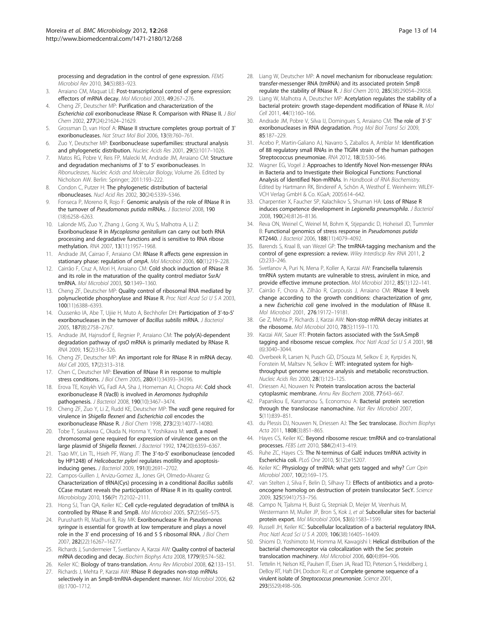<span id="page-12-0"></span>processing and degradation in the control of gene expression. FEMS Microbiol Rev 2010, 34(5):883–923.

- 3. Arraiano CM, Maquat LE: Post-transcriptional control of gene expression: effectors of mRNA decay. Mol Microbiol 2003, 49:267–276.
- 4. Cheng ZF, Deutscher MP: Purification and characterization of the Escherichia coli exoribonuclease RNase R. Comparison with RNase II. J Biol Chem 2002, 277(24):21624–21629.
- 5. Grossman D, van Hoof A: RNase II structure completes group portrait of 3' exoribonucleases. Nat Struct Mol Biol 2006, 13(9):760–761.
- 6. Zuo Y, Deutscher MP: Exoribonuclease superfamilies: structural analysis and phylogenetic distribution. Nucleic Acids Res 2001, 29(5):1017–1026.
- 7. Matos RG, Pobre V, Reis FP, Malecki M, Andrade JM, Arraiano CM: Structure and degradation mechanisms of 3' to 5' exoribonucleases. In Ribonucleases, Nucleic Acids and Molecular Biology, Volume 26. Edited by Nicholson AW. Berlin: Springer; 2011:193–222.
- 8. Condon C, Putzer H: The phylogenetic distribution of bacterial ribonucleases. Nucl Acid Res 2002, 30(24):5339–5346.
- 9. Fonseca P, Moreno R, Rojo F: Genomic analysis of the role of RNase R in the turnover of Pseudomonas putida mRNAs. J Bacteriol 2008, 190 (18):6258–6263.
- 10. Lalonde MS, Zuo Y, Zhang J, Gong X, Wu S, Malhotra A, Li Z: Exoribonuclease R in Mycoplasma genitalium can carry out both RNA processing and degradative functions and is sensitive to RNA ribose methylation. RNA 2007, 13(11):1957–1968.
- 11. Andrade JM, Cairrao F, Arraiano CM: RNase R affects gene expression in stationary phase: regulation of ompA. Mol Microbiol 2006, 60(1):219-228.
- 12. Cairrão F, Cruz A, Mori H, Arraiano CM: Cold shock induction of RNase R and its role in the maturation of the quality control mediator SsrA/ tmRNA. Mol Microbiol 2003, 50:1349–1360.
- 13. Cheng ZF, Deutscher MP: Quality control of ribosomal RNA mediated by polynucleotide phosphorylase and RNase R. Proc Natl Acad Sci U S A 2003, 100(11):6388–6393.
- 14. Oussenko IA, Abe T, Ujiie H, Muto A, Bechhofer DH: Participation of 3'-to-5' exoribonucleases in the turnover of Bacillus subtilis mRNA. J Bacteriol 2005, 187(8):2758–2767.
- 15. Andrade JM, Hajnsdorf E, Regnier P, Arraiano CM: The poly(A)-dependent degradation pathway of rpsO mRNA is primarily mediated by RNase R. RNA 2009, 15(2):316–326.
- 16. Cheng ZF, Deutscher MP: An important role for RNase R in mRNA decay. Mol Cell 2005, 17(2):313–318.
- 17. Chen C, Deutscher MP: Elevation of RNase R in response to multiple stress conditions. J Biol Chem 2005, 280(41):34393–34396.
- 18. Erova TE, Kosykh VG, Fadl AA, Sha J, Horneman AJ, Chopra AK: Cold shock exoribonuclease R (VacB) is involved in Aeromonas hydrophila pathogenesis. J Bacteriol 2008, 190(10):3467–3474.
- 19. Cheng ZF, Zuo Y, Li Z, Rudd KE, Deutscher MP: The vacB gene required for virulence in Shigella flexneri and Escherichia coli encodes the exoribonuclease RNase R. J Biol Chem 1998, 273(23):14077–14080.
- 20. Tobe T, Sasakawa C, Okada N, Honma Y, Yoshikawa M: vacB, a novel chromosomal gene required for expression of virulence genes on the large plasmid of Shigella flexneri. J Bacteriol 1992, 174(20):6359–6367.
- 21. Tsao MY, Lin TL, Hsieh PF, Wang JT: The 3'-to-5' exoribonuclease (encoded by HP1248) of Helicobacter pylori regulates motility and apoptosisinducing genes. J Bacteriol 2009, 191(8):2691–2702.
- 22. Campos-Guillen J, Arvizu-Gomez JL, Jones GH, Olmedo-Alvarez G: Characterization of tRNA(Cys) processing in a conditional Bacillus subtilis CCase mutant reveals the participation of RNase R in its quality control. Microbiology 2010, 156(Pt 7):2102–2111.
- 23. Hong SJ, Tran QA, Keiler KC: Cell cycle-regulated degradation of tmRNA is controlled by RNase R and SmpB. Mol Microbiol 2005, 57(2):565–575.
- 24. Purusharth RI, Madhuri B, Ray MK: Exoribonuclease R in Pseudomonas syringae is essential for growth at low temperature and plays a novel role in the 3' end processing of 16 and 5 S ribosomal RNA. J Biol Chem 2007, 282(22):16267–16277.
- 25. Richards J, Sundermeier T, Svetlanov A, Karzai AW: Quality control of bacterial mRNA decoding and decay. Biochim Biophys Acta 2008, 1779(9):574–582.
- 26. Keiler KC: Biology of trans-translation. Annu Rev Microbiol 2008, 62:133-151.
- 27. Richards J, Mehta P, Karzai AW: RNase R degrades non-stop mRNAs selectively in an SmpB-tmRNA-dependent manner. Mol Microbiol 2006, 62 (6):1700–1712.
- 28. Liang W, Deutscher MP: A novel mechanism for ribonuclease regulation: transfer-messenger RNA (tmRNA) and its associated protein SmpB regulate the stability of RNase R. J Biol Chem 2010, 285(38):29054–29058.
- 29. Liang W, Malhotra A, Deutscher MP: Acetylation regulates the stability of a bacterial protein: growth stage-dependent modification of RNase R. Mol Cell 2011, 44(1):160–166.
- 30. Andrade JM, Pobre V, Silva IJ, Domingues S, Arraiano CM: The role of 3'-5' exoribonucleases in RNA degradation. Prog Mol Biol Transl Sci 2009, 85:187–229.
- 31. Acebo P, Martin-Galiano AJ, Navarro S, Zaballos A, Amblar M: Identification of 88 regulatory small RNAs in the TIGR4 strain of the human pathogen Streptococcus pneumoniae. RNA 2012, 18(3):530-546.
- 32. Wagner EG, Vogel J: Approaches to Identify Novel Non-messenger RNAs in Bacteria and to Investigate their Biological Functions: Functional Analysis of Identified Non-mRNAs. In Handbook of RNA Biochemistry. Edited by Hartmann RK, Bindereif A, Schõn A, Westhof E. Weinheim: WILEY-VCH Verlag GmbH & Co. KGaA; 2005:614–642.
- 33. Charpentier X, Faucher SP, Kalachikov S, Shuman HA: Loss of RNase R induces competence development in Legionella pneumophila. J Bacteriol 2008, 190(24):8126–8136.
- 34. Reva ON, Weinel C, Weinel M, Bohm K, Stjepandic D, Hoheisel JD, Tummler B: Functional genomics of stress response in Pseudomonas putida KT2440. J Bacteriol 2006. 188(11):4079-4092.
- 35. Barends S, Kraal B, van Wezel GP: The tmRNA-tagging mechanism and the control of gene expression: a review. Wiley Interdiscip Rev RNA 2011, 2 (2):233–246.
- 36. Svetlanov A, Puri N, Mena P, Koller A, Karzai AW: Francisella tularensis tmRNA system mutants are vulnerable to stress, avirulent in mice, and provide effective immune protection. Mol Microbiol 2012, 85(1):122–141.
- 37. Cairrão F, Chora A, Zilhão R, Carpousis J, Arraiano CM: RNase II levels change according to the growth conditions: characterization of gmr, a new Escherichia coli gene involved in the modulation of RNase II. Mol Microbiol 2001, 276:19172–19181.
- 38. Ge Z, Mehta P, Richards J, Karzai AW: Non-stop mRNA decay initiates at the ribosome. Mol Microbiol 2010, 78(5):1159–1170.
- 39. Karzai AW, Sauer RT: Protein factors associated with the SsrA.SmpB tagging and ribosome rescue complex. Proc Natl Acad Sci U S A 2001, 98 (6):3040–3044.
- 40. Overbeek R, Larsen N, Pusch GD, D'Souza M, Selkov E Jr, Kyrpides N, Fonstein M, Maltsev N, Selkov E: WIT: integrated system for highthroughput genome sequence analysis and metabolic reconstruction. Nucleic Acids Res 2000, 28(1):123–125.
- 41. Driessen AJ, Nouwen N: Protein translocation across the bacterial cytoplasmic membrane. Annu Rev Biochem 2008, 77:643–667.
- 42. Papanikou E, Karamanou S, Economou A: Bacterial protein secretion through the translocase nanomachine. Nat Rev Microbiol 2007, 5(11):839–851.
- 43. du Plessis DJ, Nouwen N, Driessen AJ: The Sec translocase. Biochim Biophys Acta 2011, 1808(3):851–865.
- 44. Hayes CS, Keiler KC: Beyond ribosome rescue: tmRNA and co-translational processes. FEBS Lett 2010, 584(2):413–419.
- 45. Ruhe ZC, Hayes CS: The N-terminus of GalE induces tmRNA activity in Escherichia coli. PLoS One 2010, 5(12):e15207.
- 46. Keiler KC: Physiology of tmRNA: what gets tagged and why? Curr Opin Microbiol 2007, 10(2):169–175.
- 47. van Stelten J, Silva F, Belin D, Silhavy TJ: Effects of antibiotics and a protooncogene homolog on destruction of protein translocator SecY. Science 2009, 325(5941):753–756.
- 48. Campo N, Tjalsma H, Buist G, Stepniak D, Meijer M, Veenhuis M, Westermann M, Muller JP, Bron S, Kok J, et al: Subcellular sites for bacterial protein export. Mol Microbiol 2004, 53(6):1583–1599.
- 49. Russell JH, Keiler KC: Subcellular localization of a bacterial regulatory RNA. Proc Natl Acad Sci U S A 2009, 106(38):16405–16409.
- 50. Shiomi D, Yoshimoto M, Homma M, Kawagishi I: Helical distribution of the bacterial chemoreceptor via colocalization with the Sec protein translocation machinery. Mol Microbiol 2006, 60(4):894–906.
- 51. Tettelin H, Nelson KE, Paulsen IT, Eisen JA, Read TD, Peterson S, Heidelberg J, DeBoy RT, Haft DH, Dodson RJ, et al: Complete genome sequence of a virulent isolate of Streptococcus pneumoniae. Science 2001, 293(5529):498–506.